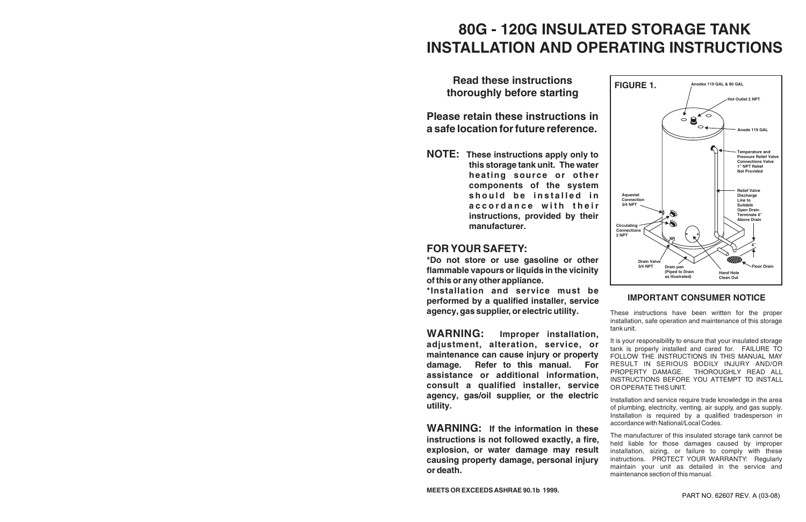# **80G - 120G INSULATED STORAGE TANK INSTALLATION AND OPERATING INSTRUCTIONS**

**Read these instructions thoroughly before starting**

**Please retain these instructions in a safe location for future reference.**

**NOTE: These instructions apply only to this storage tank unit. The water heating source or other components of the system should be installed in accordance with their instructions, provided by their manufacturer.**

# **FOR YOUR SAFETY:**

**\*Do not store or use gasoline or other flammable vapours or liquids in the vicinity of this or any other appliance. \*Installation and service must be** 

**performed by a qualified installer, service agency, gas supplier, or electric utility.**



# **IMPORTANT CONSUMER NOTICE**

**WARNING: Improper installation, adjustment, alteration, service, or maintenance can cause injury or property damage. Refer to this manual. For assistance or additional information, consult a qualified installer, service agency, gas/oil supplier, or the electric utility.** It is your responsibility to ensure that your insulated storage tank is properly installed and cared for. FAILURE TO FOLLOW THE INSTRUCTIONS IN THIS MANUAL MAY RESULT IN SERIOUS BODILY INJURY AND/OR PROPERTY DAMAGE. THOROUGHLY READ ALL INSTRUCTIONS BEFORE YOU ATTEMPT TO INSTALL OR OPERATE THIS UNIT. Installation and service require trade knowledge in the area of plumbing, electricity, venting, air supply, and gas supply.

These instructions have been written for the proper installation, safe operation and maintenance of this storage tank unit.

**WARNING: If the information in these instructions is not followed exactly, a fire, explosion, or water damage may result causing property damage, personal injury or death.** The manufacturer of this insulated storage tank cannot be held liable for those damages caused by improper installation, sizing, or failure to comply with these instructions. PROTECT YOUR WARRANTY: Regularly maintain your unit as detailed in the service and maintenance section of this manual.

Installation is required by a qualified tradesperson in accordance with National/Local Codes.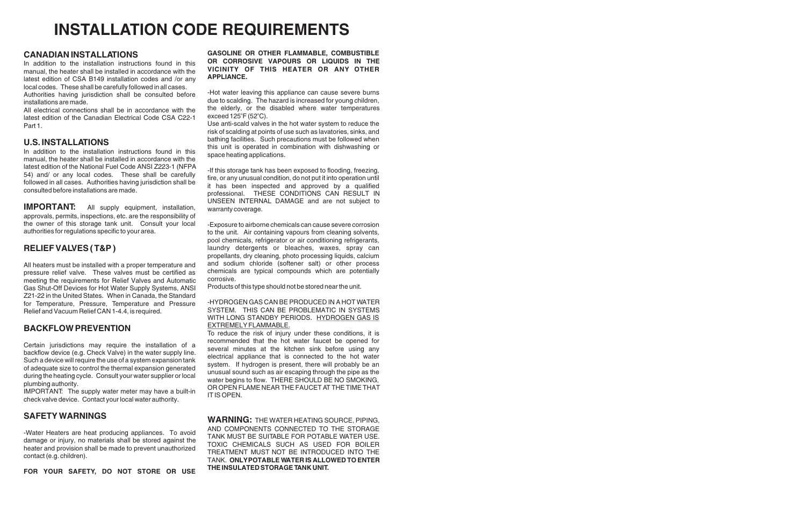### **CANADIAN INSTALLATIONS**

In addition to the installation instructions found in this manual, the heater shall be installed in accordance with the latest edition of CSA B149 installation codes and /or any local codes. These shall be carefully followed in all cases. Authorities having jurisdiction shall be consulted before installations are made.

All electrical connections shall be in accordance with the latest edition of the Canadian Electrical Code CSA C22-1 Part 1.

### **U.S. INSTALLATIONS**

**IMPORTANT:** All supply equipment, installation, approvals, permits, inspections, etc. are the responsibility of the owner of this storage tank unit. Consult your local authorities for regulations specific to your area.

In addition to the installation instructions found in this manual, the heater shall be installed in accordance with the latest edition of the National Fuel Code ANSI Z223-1 (NFPA 54) and/ or any local codes. These shall be carefully followed in all cases. Authorities having jurisdiction shall be consulted before installations are made.

### **RELIEF VALVES ( T&P )**

-Hot water leaving this appliance can cause severe burns due to scalding. The hazard is increased for young children, the elderly, or the disabled where water temperatures exceed  $125^\circ$ F (52 $^\circ$ C).

All heaters must be installed with a proper temperature and pressure relief valve. These valves must be certified as meeting the requirements for Relief Valves and Automatic Gas Shut-Off Devices for Hot Water Supply Systems, ANSI Z21-22 in the United States. When in Canada, the Standard for Temperature, Pressure, Temperature and Pressure Relief and Vacuum Relief CAN 1-4.4, is required.

### **BACKFLOW PREVENTION**

Certain jurisdictions may require the installation of a backflow device (e.g. Check Valve) in the water supply line. Such a device will require the use of a system expansion tank of adequate size to control the thermal expansion generated during the heating cycle. Consult your water supplier or local plumbing authority.

IMPORTANT: The supply water meter may have a built-in check valve device. Contact your local water authority.

### **SAFETY WARNINGS**

-Water Heaters are heat producing appliances. To avoid damage or injury, no materials shall be stored against the heater and provision shall be made to prevent unauthorized contact (e.g. children).

**FOR YOUR SAFETY, DO NOT STORE OR USE** 

#### **GASOLINE OR OTHER FLAMMABLE, COMBUSTIBLE OR CORROSIVE VAPOURS OR LIQUIDS IN THE VICINITY OF THIS HEATER OR ANY OTHER APPLIANCE.**

Use anti-scald valves in the hot water system to reduce the risk of scalding at points of use such as lavatories, sinks, and bathing facilities. Such precautions must be followed when this unit is operated in combination with dishwashing or space heating applications.

-If this storage tank has been exposed to flooding, freezing, fire, or any unusual condition, do not put it into operation until it has been inspected and approved by a qualified professional. THESE CONDITIONS CAN RESULT IN UNSEEN INTERNAL DAMAGE and are not subject to warranty coverage.

-Exposure to airborne chemicals can cause severe corrosion to the unit. Air containing vapours from cleaning solvents, pool chemicals, refrigerator or air conditioning refrigerants, laundry detergents or bleaches, waxes, spray can propellants, dry cleaning, photo processing liquids, calcium and sodium chloride (softener salt) or other process chemicals are typical compounds which are potentially corrosive.

Products of this type should not be stored near the unit.

#### -HYDROGEN GAS CAN BE PRODUCED IN A HOT WATER SYSTEM. THIS CAN BE PROBLEMATIC IN SYSTEMS WITH LONG STANDBY PERIODS. HYDROGEN GAS IS EXTREMELY FLAMMABLE.

To reduce the risk of injury under these conditions, it is recommended that the hot water faucet be opened for several minutes at the kitchen sink before using any electrical appliance that is connected to the hot water system. If hydrogen is present, there will probably be an unusual sound such as air escaping through the pipe as the water begins to flow. THERE SHOULD BE NO SMOKING, OR OPEN FLAME NEAR THE FAUCET AT THE TIME THAT IT IS OPEN.

**WARNING:** THE WATER HEATING SOURCE, PIPING, AND COMPONENTS CONNECTED TO THE STORAGE TANK MUST BE SUITABLE FOR POTABLE WATER USE. TOXIC CHEMICALS SUCH AS USED FOR BOILER TREATMENT MUST NOT BE INTRODUCED INTO THE TANK. **ONLY POTABLE WATER IS ALLOWED TO ENTER THE INSULATED STORAGE TANK UNIT.**

# **INSTALLATION CODE REQUIREMENTS**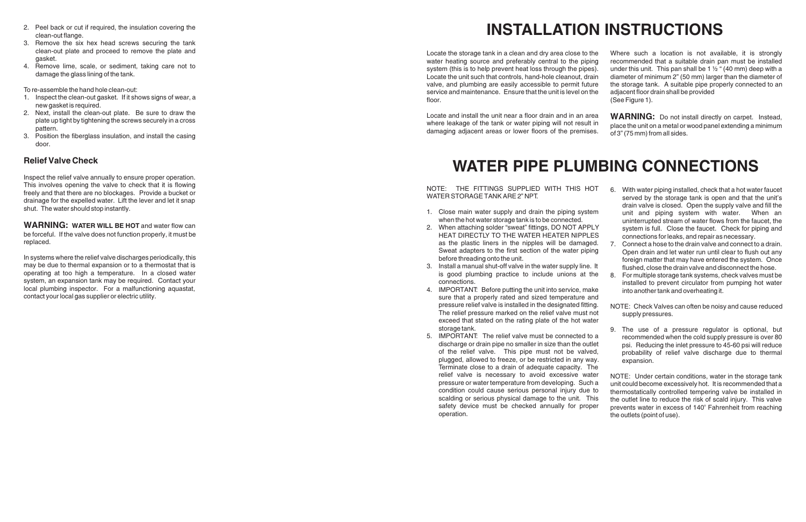- 2. Peel back or cut if required, the insulation covering the
- 3. Remove the six hex head screws securing the tank clean-out plate and proceed to remove the plate and gasket.
- 4. Remove lime, scale, or sediment, taking care not to damage the glass lining of the tank.

To re-assemble the hand hole clean-out:

- 1. Inspect the clean-out gasket. If it shows signs of wear, a new gasket is required.
- 2. Next, install the clean-out plate. Be sure to draw the plate up tight by tightening the screws securely in a cross pattern.
- 3. Position the fiberglass insulation, and install the casing door.

Locate the storage tank in a clean and dry area close to the water heating source and preferably central to the piping system (this is to help prevent heat loss through the pipes). Locate the unit such that controls, hand-hole cleanout, drain valve, and plumbing are easily accessible to permit future service and maintenance. Ensure that the unit is level on the floor. Where such a location is not available, it is strongly recommended that a suitable drain pan must be installed under this unit. This pan shall be 1  $\frac{1}{2}$  " (40 mm) deep with a diameter of minimum 2" (50 mm) larger than the diameter of the storage tank. A suitable pipe properly connected to an adjacent floor drain shall be provided (See Figure 1).

### **Relief Valve Check**

NOTE: THE FITTINGS SUPPLIED WITH THIS HO WATER STORAGE TANK ARE 2" NPT.

- 1. Close main water supply and drain the piping system when the hot water storage tank is to be connected.
- 2. When attaching solder "sweat" fittings, DO NOT APPI HEAT DIRECTLY TO THE WATER HEATER NIPPLE as the plastic liners in the nipples will be damage Sweat adapters to the first section of the water piping before threading onto the unit.
- 3. Install a manual shut-off valve in the water supply line. is good plumbing practice to include unions at the connections.
- 4. IMPORTANT: Before putting the unit into service, make sure that a properly rated and sized temperature and pressure relief valve is installed in the designated fitting. The relief pressure marked on the relief valve must  $n_0$ exceed that stated on the rating plate of the hot wat storage tank.
- 5. IMPORTANT: The relief valve must be connected to discharge or drain pipe no smaller in size than the outl of the relief valve. This pipe must not be valved plugged, allowed to freeze, or be restricted in any way Terminate close to a drain of adequate capacity. The relief valve is necessary to avoid excessive water pressure or water temperature from developing. Such a condition could cause serious personal injury due to scalding or serious physical damage to the unit. This safety device must be checked annually for proper operation.

Inspect the relief valve annually to ensure proper operation. This involves opening the valve to check that it is flowing freely and that there are no blockages. Provide a bucket or drainage for the expelled water. Lift the lever and let it snap shut. The water should stop instantly.

Locate and install the unit near a floor drain and in an area where leakage of the tank or water piping will not result in damaging adjacent areas or lower floors of the premises. **WARNING:** Do not install directly on carpet. Instead, place the unit on a metal or wood panel extending a minimum of 3" (75 mm) from all sides.

**WARNING: WATER WILL BE HOT** and water flow can be forceful. If the valve does not function properly, it must be replaced.

In systems where the relief valve discharges periodically, this may be due to thermal expansion or to a thermostat that is operating at too high a temperature. In a closed water system, an expansion tank may be required. Contact your local plumbing inspector. For a malfunctioning aquastat, contact your local gas supplier or electric utility.

# **INSTALLATION INSTRUCTIONS**

| <b>WATER PIPE PLUMBING CONNECTIONS</b>                                                                                                                                                                                                                                                                      |                                  |                                                                                                                                                                                                                                                                                                                                                       |
|-------------------------------------------------------------------------------------------------------------------------------------------------------------------------------------------------------------------------------------------------------------------------------------------------------------|----------------------------------|-------------------------------------------------------------------------------------------------------------------------------------------------------------------------------------------------------------------------------------------------------------------------------------------------------------------------------------------------------|
| THE FITTINGS SUPPLIED WITH THIS HOT<br>ΓE:<br><b>FER STORAGE TANK ARE 2" NPT.</b>                                                                                                                                                                                                                           | 6.                               | With water piping installed, check that a hot water faucet<br>served by the storage tank is open and that the unit's<br>drain valve is closed. Open the supply valve and fill the                                                                                                                                                                     |
| Close main water supply and drain the piping system<br>when the hot water storage tank is to be connected.<br>When attaching solder "sweat" fittings, DO NOT APPLY<br>HEAT DIRECTLY TO THE WATER HEATER NIPPLES<br>as the plastic liners in the nipples will be damaged.                                    | $7_{\scriptscriptstyle{\ddots}}$ | unit and piping system with water.<br>When an<br>uninterrupted stream of water flows from the faucet, the<br>system is full. Close the faucet. Check for piping and<br>connections for leaks, and repair as necessary.<br>Connect a hose to the drain valve and connect to a drain.                                                                   |
| Sweat adapters to the first section of the water piping<br>before threading onto the unit.<br>Install a manual shut-off valve in the water supply line. It                                                                                                                                                  |                                  | Open drain and let water run until clear to flush out any<br>foreign matter that may have entered the system. Once<br>flushed, close the drain valve and disconnect the hose.                                                                                                                                                                         |
| is good plumbing practice to include unions at the<br>connections.<br>IMPORTANT: Before putting the unit into service, make<br>sure that a properly rated and sized temperature and                                                                                                                         | 8.                               | For multiple storage tank systems, check valves must be<br>installed to prevent circulator from pumping hot water<br>into another tank and overheating it.                                                                                                                                                                                            |
| pressure relief valve is installed in the designated fitting.<br>The relief pressure marked on the relief valve must not<br>exceed that stated on the rating plate of the hot water                                                                                                                         |                                  | NOTE: Check Valves can often be noisy and cause reduced<br>supply pressures.                                                                                                                                                                                                                                                                          |
| storage tank.<br>IMPORTANT: The relief valve must be connected to a<br>discharge or drain pipe no smaller in size than the outlet<br>of the relief valve. This pipe must not be valved,<br>plugged, allowed to freeze, or be restricted in any way.<br>Terminate close to a drain of adequate capacity. The | 9.                               | The use of a pressure regulator is optional, but<br>recommended when the cold supply pressure is over 80<br>psi. Reducing the inlet pressure to 45-60 psi will reduce<br>probability of relief valve discharge due to thermal<br>expansion.                                                                                                           |
| relief valve is necessary to avoid excessive water<br>pressure or water temperature from developing. Such a<br>condition could cause serious personal injury due to<br>scalding or serious physical damage to the unit. This<br>safety device must be checked annually for proper<br>operation.             |                                  | NOTE: Under certain conditions, water in the storage tank<br>unit could become excessively hot. It is recommended that a<br>thermostatically controlled tempering valve be installed in<br>the outlet line to reduce the risk of scald injury. This valve<br>prevents water in excess of 140° Fahrenheit from reaching<br>the outlets (point of use). |